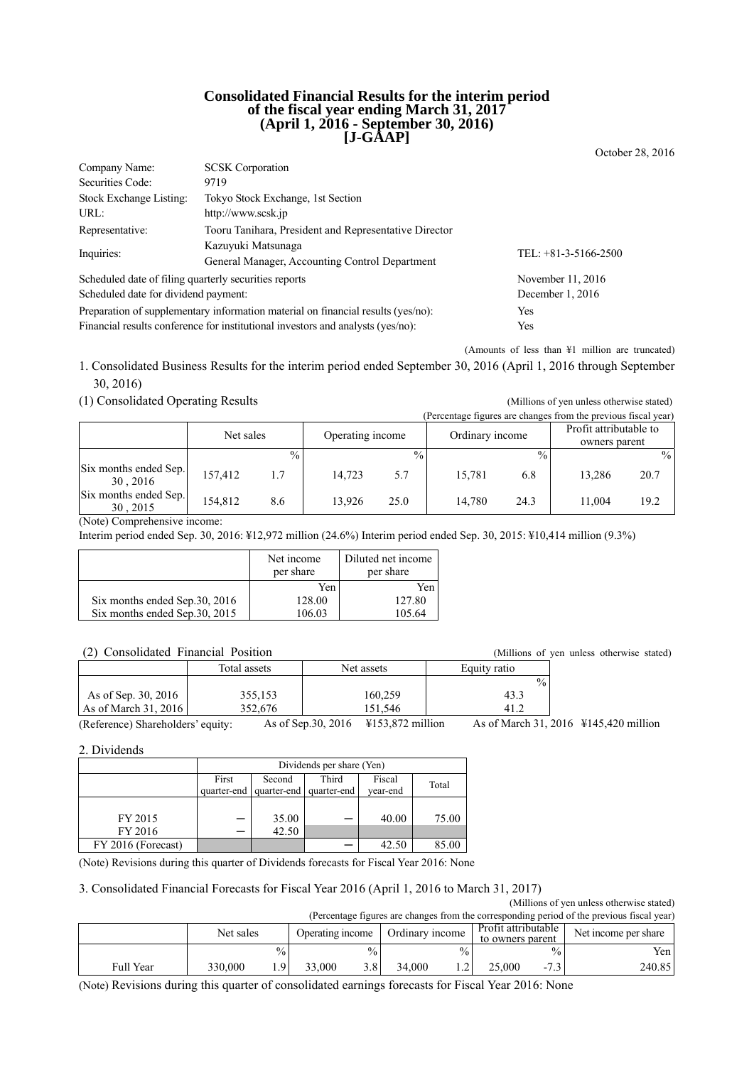#### **Consolidated Financial Results for the interim period of the fiscal year ending March 31, 2017 (April 1, 2016 - September 30, 2016) [J-GAAP]**

October 28, 2016

| Company Name:                                                                    | <b>SCSK</b> Corporation                                                         |                        |  |  |  |  |
|----------------------------------------------------------------------------------|---------------------------------------------------------------------------------|------------------------|--|--|--|--|
| Securities Code:                                                                 | 9719                                                                            |                        |  |  |  |  |
| Stock Exchange Listing:                                                          | Tokyo Stock Exchange, 1st Section                                               |                        |  |  |  |  |
| URL:                                                                             | http://www.scsk.jp                                                              |                        |  |  |  |  |
| Representative:                                                                  | Tooru Tanihara, President and Representative Director                           |                        |  |  |  |  |
| Inquiries:                                                                       | Kazuyuki Matsunaga                                                              | TEL: $+81-3-5166-2500$ |  |  |  |  |
|                                                                                  | General Manager, Accounting Control Department                                  |                        |  |  |  |  |
| Scheduled date of filing quarterly securities reports                            |                                                                                 | November 11, 2016      |  |  |  |  |
| Scheduled date for dividend payment:                                             | December $1, 2016$                                                              |                        |  |  |  |  |
| Preparation of supplementary information material on financial results (yes/no): | Yes                                                                             |                        |  |  |  |  |
|                                                                                  | Financial results conference for institutional investors and analysts (yes/no): | Yes                    |  |  |  |  |

(Amounts of less than ¥1 million are truncated)

1. Consolidated Business Results for the interim period ended September 30, 2016 (April 1, 2016 through September 30, 2016)

(1) Consolidated Operating Results (Millions of yen unless otherwise stated)

|                                   |           |               |                  |               |                 |               | (Percentage figures are changes from the previous fiscal year) |      |
|-----------------------------------|-----------|---------------|------------------|---------------|-----------------|---------------|----------------------------------------------------------------|------|
|                                   | Net sales |               | Operating income |               | Ordinary income |               | Profit attributable to                                         |      |
|                                   |           |               |                  |               |                 |               | owners parent                                                  |      |
|                                   |           | $\frac{0}{0}$ |                  | $\frac{0}{0}$ |                 | $\frac{0}{0}$ |                                                                | $\%$ |
| Six months ended Sep.<br>30.2016  | 157,412   | 1.7           | 14.723           | 5.7           | 15.781          | 6.8           | 13,286                                                         | 20.7 |
| Six months ended Sep.<br>30, 2015 | 154.812   | 8.6           | 13.926           | 25.0          | 14.780          | 24.3          | 11.004                                                         | 19.2 |

(Note) Comprehensive income:

Interim period ended Sep. 30, 2016: ¥12,972 million (24.6%) Interim period ended Sep. 30, 2015: ¥10,414 million (9.3%)

|                                | Net income<br>per share | Diluted net income<br>per share |
|--------------------------------|-------------------------|---------------------------------|
|                                | Yen                     | Yen                             |
| Six months ended Sep.30, 2016  | 128.00                  | 127.80                          |
| Six months ended Sep. 30, 2015 | 106.03                  | 105.64                          |

#### (2) Consolidated Financial Position (Millions of yen unless otherwise stated)

|                        | Total assets  | Net assets                                | Equity ratio                   |
|------------------------|---------------|-------------------------------------------|--------------------------------|
|                        |               |                                           | $\frac{0}{0}$                  |
| As of Sep. 30, 2016    | 355,153       | 160,259                                   | 43.3                           |
| As of March $31, 2016$ | 352,676       | 151.546                                   | $-41.2$                        |
| .                      | $\sim$ $\sim$ | $\sim$ $\sim$ $\sim$<br>$\cdots$ $\cdots$ | $\sim$ $\sim$<br>$\sim$ $\sim$ |

(Reference) Shareholders' equity: As of Sep.30, 2016 ¥153,872 million As of March 31, 2016 ¥145,420 million

2. Dividends

|                    | Dividends per share (Yen) |        |                         |          |       |  |
|--------------------|---------------------------|--------|-------------------------|----------|-------|--|
|                    | First                     | Second | Third                   | Fiscal   | Total |  |
|                    | quarter-end               |        | quarter-end quarter-end | year-end |       |  |
|                    |                           |        |                         |          |       |  |
| FY 2015            |                           | 35.00  |                         | 40.00    | 75.00 |  |
| FY 2016            |                           | 42.50  |                         |          |       |  |
| FY 2016 (Forecast) |                           |        |                         | 42.50    |       |  |

(Note) Revisions during this quarter of Dividends forecasts for Fiscal Year 2016: None

#### 3. Consolidated Financial Forecasts for Fiscal Year 2016 (April 1, 2016 to March 31, 2017)

(Millions of yen unless otherwise stated) (Percentage figures are changes from the corresponding period of the previous fiscal year)

|           | Net sales |               | Ordinary income<br>Operating income |               |        | Profit attributable<br>Net income per share<br>to owners parent |        |                                  |        |
|-----------|-----------|---------------|-------------------------------------|---------------|--------|-----------------------------------------------------------------|--------|----------------------------------|--------|
|           |           | $\frac{0}{0}$ |                                     | $^{0}/_{0}$ . |        | $\frac{0}{0}$                                                   |        | $\%$                             | Yen.   |
| Full Year | 330,000   | $\Omega$      | 33.000                              | 3.8           | 34.000 |                                                                 | 25,000 | $\overline{\phantom{0}}$<br>ن. ا | 240.85 |

(Note) Revisions during this quarter of consolidated earnings forecasts for Fiscal Year 2016: None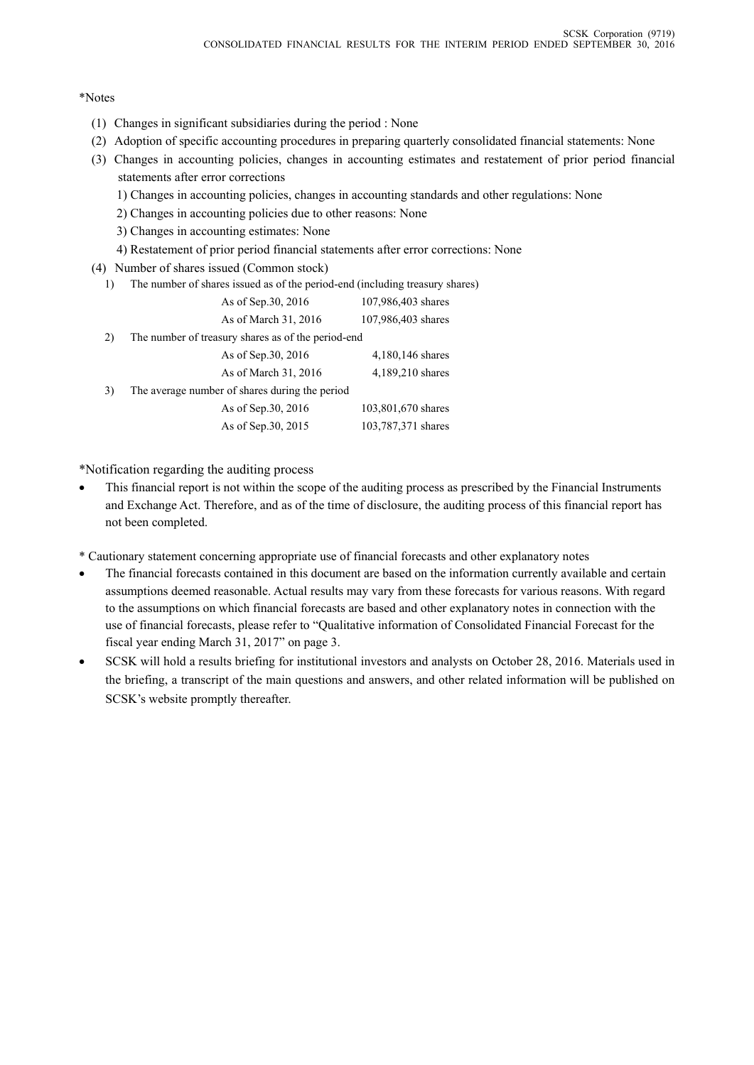#### \*Notes

- (1) Changes in significant subsidiaries during the period : None
- (2) Adoption of specific accounting procedures in preparing quarterly consolidated financial statements: None
- (3) Changes in accounting policies, changes in accounting estimates and restatement of prior period financial statements after error corrections
	- 1) Changes in accounting policies, changes in accounting standards and other regulations: None
	- 2) Changes in accounting policies due to other reasons: None
	- 3) Changes in accounting estimates: None
	- 4) Restatement of prior period financial statements after error corrections: None
- (4) Number of shares issued (Common stock)
	- 1) The number of shares issued as of the period-end (including treasury shares)

|    | As of Sep. 30, 2016                                | 107,986,403 shares |
|----|----------------------------------------------------|--------------------|
|    | As of March 31, 2016                               | 107,986,403 shares |
| 2) | The number of treasury shares as of the period-end |                    |
|    | As of Sep.30, 2016                                 | 4,180,146 shares   |
|    | As of March 31, 2016                               | 4,189,210 shares   |
| 3) | The average number of shares during the period     |                    |
|    | As of Sep. 30, 2016                                | 103,801,670 shares |
|    | As of Sep.30, 2015                                 | 103,787,371 shares |
|    |                                                    |                    |

\*Notification regarding the auditing process

- This financial report is not within the scope of the auditing process as prescribed by the Financial Instruments and Exchange Act. Therefore, and as of the time of disclosure, the auditing process of this financial report has not been completed.
- \* Cautionary statement concerning appropriate use of financial forecasts and other explanatory notes
- The financial forecasts contained in this document are based on the information currently available and certain assumptions deemed reasonable. Actual results may vary from these forecasts for various reasons. With regard to the assumptions on which financial forecasts are based and other explanatory notes in connection with the use of financial forecasts, please refer to "Qualitative information of Consolidated Financial Forecast for the fiscal year ending March 31, 2017" on page 3.
- SCSK will hold a results briefing for institutional investors and analysts on October 28, 2016. Materials used in the briefing, a transcript of the main questions and answers, and other related information will be published on SCSK's website promptly thereafter.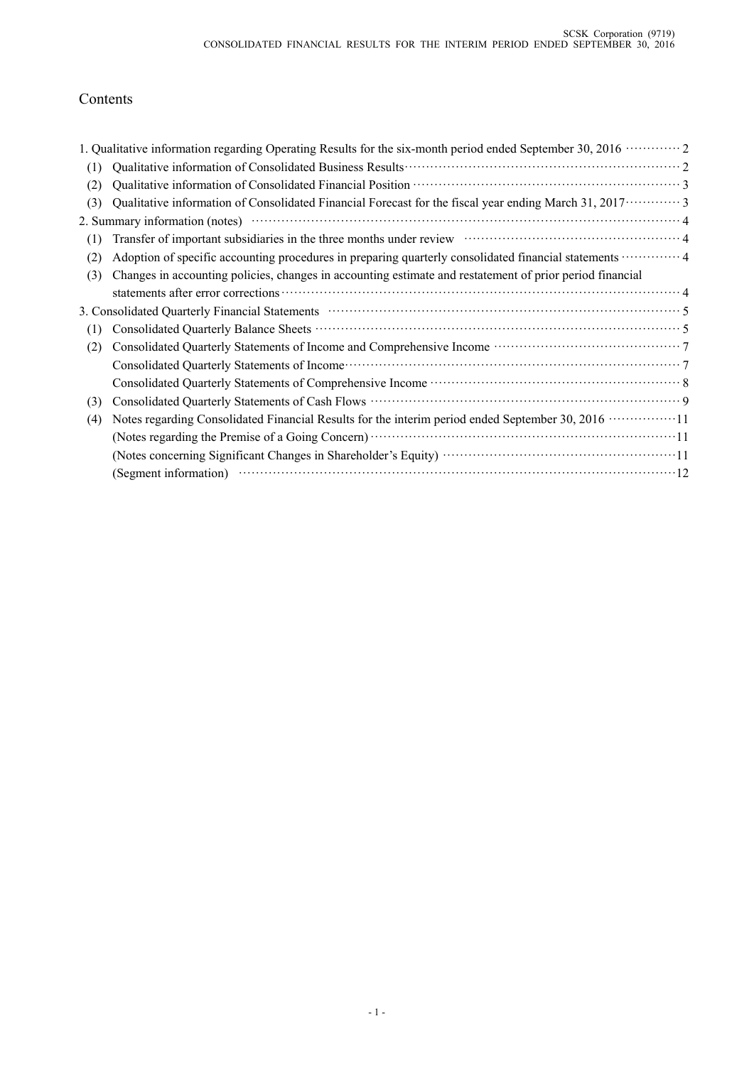# Contents

|     | 1. Qualitative information regarding Operating Results for the six-month period ended September 30, 2016 $\cdots$                                                                                                              |
|-----|--------------------------------------------------------------------------------------------------------------------------------------------------------------------------------------------------------------------------------|
| (1) |                                                                                                                                                                                                                                |
| (2) |                                                                                                                                                                                                                                |
| (3) | Qualitative information of Consolidated Financial Forecast for the fiscal year ending March 31, 2017 · · · · · · · · · 3                                                                                                       |
|     |                                                                                                                                                                                                                                |
| (1) | Transfer of important subsidiaries in the three months under review material contact and a 4                                                                                                                                   |
| (2) | Adoption of specific accounting procedures in preparing quarterly consolidated financial statements  4                                                                                                                         |
| (3) | Changes in accounting policies, changes in accounting estimate and restatement of prior period financial                                                                                                                       |
|     |                                                                                                                                                                                                                                |
|     | 3. Consolidated Quarterly Financial Statements manufactured control of the Statements of Statements and Statements of Statements and Statements of Statements and Statements of Statements and Statements and Statements and S |
| (1) |                                                                                                                                                                                                                                |
| (2) |                                                                                                                                                                                                                                |
|     |                                                                                                                                                                                                                                |
|     |                                                                                                                                                                                                                                |
| (3) | Consolidated Quarterly Statements of Cash Flows <b>Example 20</b> and the set of Cash Plows <b>Cash Flows Cash Flows Cash Flows Cash Flows Cash Flows Cash Flows Cash Flows Cash Flows Cash Flows Cash Flows Cash</b>          |
| (4) | Notes regarding Consolidated Financial Results for the interim period ended September 30, 2016 ················11                                                                                                              |
|     | (Notes regarding the Premise of a Going Concern) <b>With the Concernance Concernance Concernance</b> 11                                                                                                                        |
|     |                                                                                                                                                                                                                                |
|     | (Segment information) $\cdots$ $\cdots$ $\cdots$ $\cdots$ $\cdots$ $\cdots$ $\cdots$ $\cdots$ $\cdots$ $\cdots$ $\cdots$ $\cdots$ $\cdots$ $\cdots$ $\cdots$ $\cdots$ $\cdots$ $\cdots$                                        |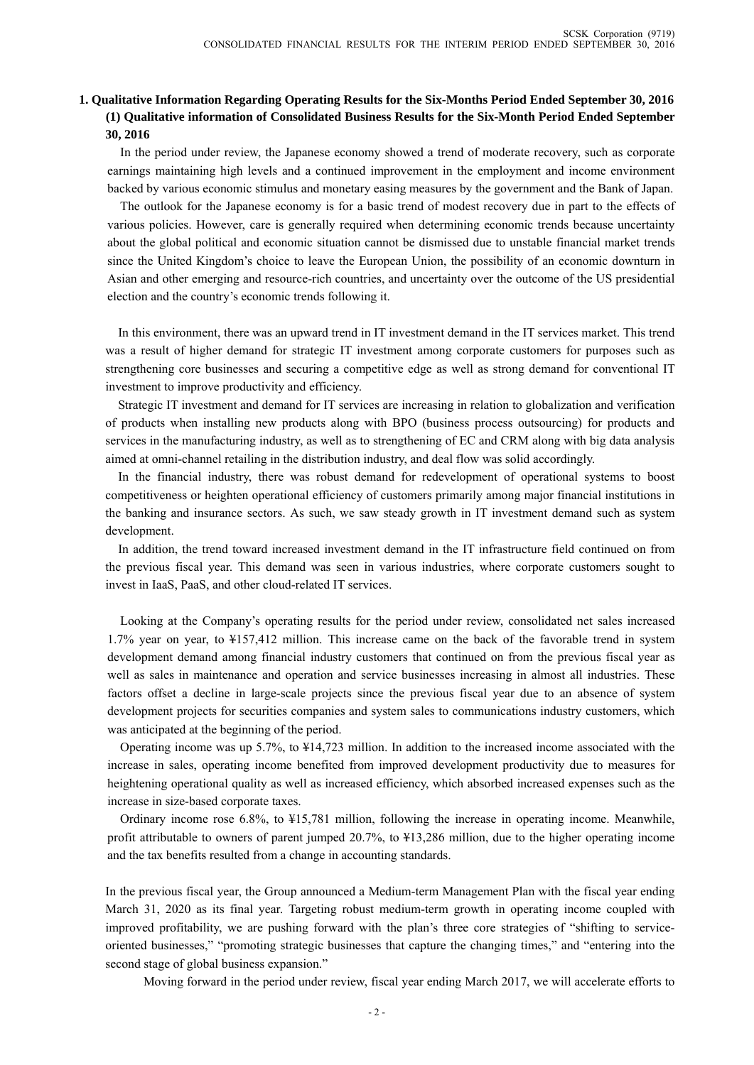## **1. Qualitative Information Regarding Operating Results for the Six-Months Period Ended September 30, 2016 (1) Qualitative information of Consolidated Business Results for the Six-Month Period Ended September 30, 2016**

In the period under review, the Japanese economy showed a trend of moderate recovery, such as corporate earnings maintaining high levels and a continued improvement in the employment and income environment backed by various economic stimulus and monetary easing measures by the government and the Bank of Japan.

The outlook for the Japanese economy is for a basic trend of modest recovery due in part to the effects of various policies. However, care is generally required when determining economic trends because uncertainty about the global political and economic situation cannot be dismissed due to unstable financial market trends since the United Kingdom's choice to leave the European Union, the possibility of an economic downturn in Asian and other emerging and resource-rich countries, and uncertainty over the outcome of the US presidential election and the country's economic trends following it.

In this environment, there was an upward trend in IT investment demand in the IT services market. This trend was a result of higher demand for strategic IT investment among corporate customers for purposes such as strengthening core businesses and securing a competitive edge as well as strong demand for conventional IT investment to improve productivity and efficiency.

Strategic IT investment and demand for IT services are increasing in relation to globalization and verification of products when installing new products along with BPO (business process outsourcing) for products and services in the manufacturing industry, as well as to strengthening of EC and CRM along with big data analysis aimed at omni-channel retailing in the distribution industry, and deal flow was solid accordingly.

In the financial industry, there was robust demand for redevelopment of operational systems to boost competitiveness or heighten operational efficiency of customers primarily among major financial institutions in the banking and insurance sectors. As such, we saw steady growth in IT investment demand such as system development.

In addition, the trend toward increased investment demand in the IT infrastructure field continued on from the previous fiscal year. This demand was seen in various industries, where corporate customers sought to invest in IaaS, PaaS, and other cloud-related IT services.

Looking at the Company's operating results for the period under review, consolidated net sales increased 1.7% year on year, to ¥157,412 million. This increase came on the back of the favorable trend in system development demand among financial industry customers that continued on from the previous fiscal year as well as sales in maintenance and operation and service businesses increasing in almost all industries. These factors offset a decline in large-scale projects since the previous fiscal year due to an absence of system development projects for securities companies and system sales to communications industry customers, which was anticipated at the beginning of the period.

Operating income was up 5.7%, to ¥14,723 million. In addition to the increased income associated with the increase in sales, operating income benefited from improved development productivity due to measures for heightening operational quality as well as increased efficiency, which absorbed increased expenses such as the increase in size-based corporate taxes.

Ordinary income rose 6.8%, to ¥15,781 million, following the increase in operating income. Meanwhile, profit attributable to owners of parent jumped 20.7%, to ¥13,286 million, due to the higher operating income and the tax benefits resulted from a change in accounting standards.

In the previous fiscal year, the Group announced a Medium-term Management Plan with the fiscal year ending March 31, 2020 as its final year. Targeting robust medium-term growth in operating income coupled with improved profitability, we are pushing forward with the plan's three core strategies of "shifting to serviceoriented businesses," "promoting strategic businesses that capture the changing times," and "entering into the second stage of global business expansion."

Moving forward in the period under review, fiscal year ending March 2017, we will accelerate efforts to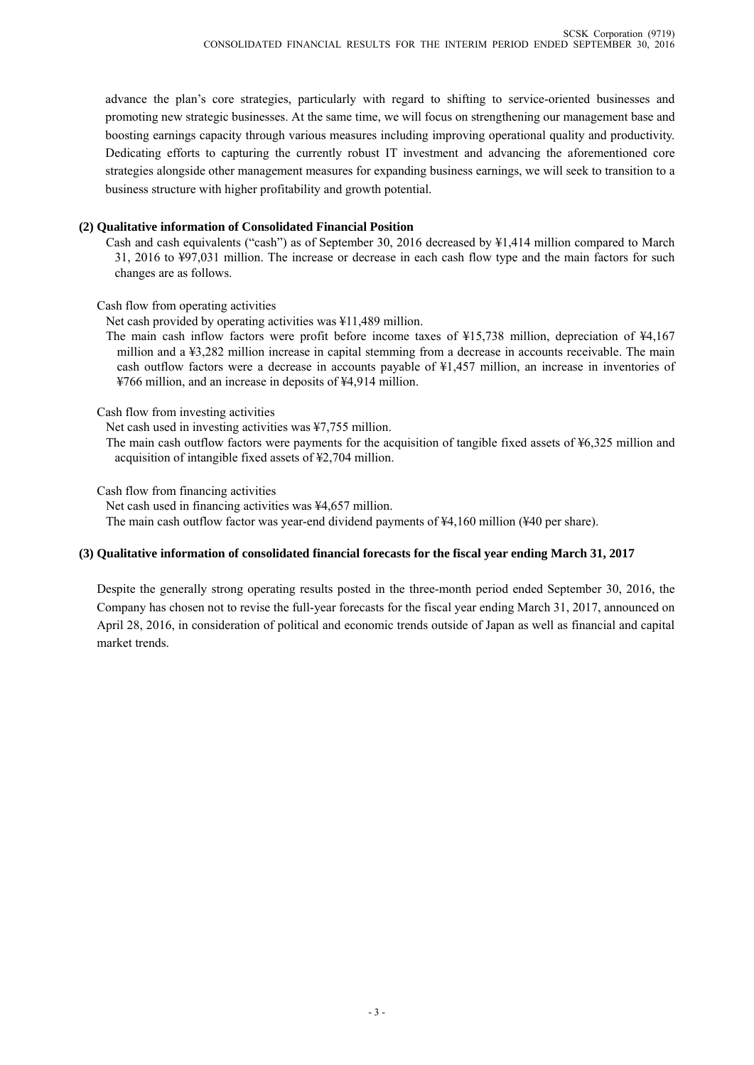advance the plan's core strategies, particularly with regard to shifting to service-oriented businesses and promoting new strategic businesses. At the same time, we will focus on strengthening our management base and boosting earnings capacity through various measures including improving operational quality and productivity. Dedicating efforts to capturing the currently robust IT investment and advancing the aforementioned core strategies alongside other management measures for expanding business earnings, we will seek to transition to a business structure with higher profitability and growth potential.

#### **(2) Qualitative information of Consolidated Financial Position**

Cash and cash equivalents ("cash") as of September 30, 2016 decreased by ¥1,414 million compared to March 31, 2016 to ¥97,031 million. The increase or decrease in each cash flow type and the main factors for such changes are as follows.

Cash flow from operating activities

Net cash provided by operating activities was ¥11,489 million.

The main cash inflow factors were profit before income taxes of ¥15,738 million, depreciation of ¥4,167 million and a ¥3,282 million increase in capital stemming from a decrease in accounts receivable. The main cash outflow factors were a decrease in accounts payable of ¥1,457 million, an increase in inventories of ¥766 million, and an increase in deposits of ¥4,914 million.

Cash flow from investing activities

Net cash used in investing activities was ¥7,755 million.

The main cash outflow factors were payments for the acquisition of tangible fixed assets of ¥6,325 million and acquisition of intangible fixed assets of ¥2,704 million.

Cash flow from financing activities

Net cash used in financing activities was ¥4,657 million.

The main cash outflow factor was year-end dividend payments of ¥4,160 million (¥40 per share).

#### **(3) Qualitative information of consolidated financial forecasts for the fiscal year ending March 31, 2017**

Despite the generally strong operating results posted in the three-month period ended September 30, 2016, the Company has chosen not to revise the full-year forecasts for the fiscal year ending March 31, 2017, announced on April 28, 2016, in consideration of political and economic trends outside of Japan as well as financial and capital market trends.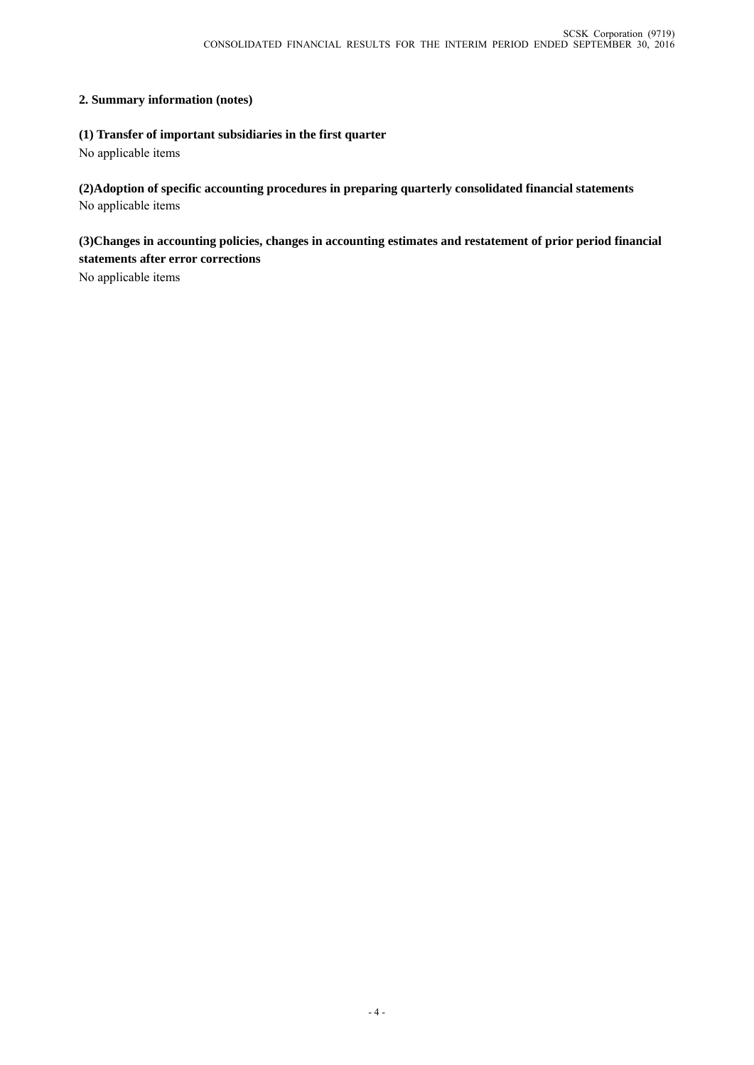### **2. Summary information (notes)**

### **(1) Transfer of important subsidiaries in the first quarter**

No applicable items

**(2)Adoption of specific accounting procedures in preparing quarterly consolidated financial statements** No applicable items

**(3)Changes in accounting policies, changes in accounting estimates and restatement of prior period financial statements after error corrections** 

No applicable items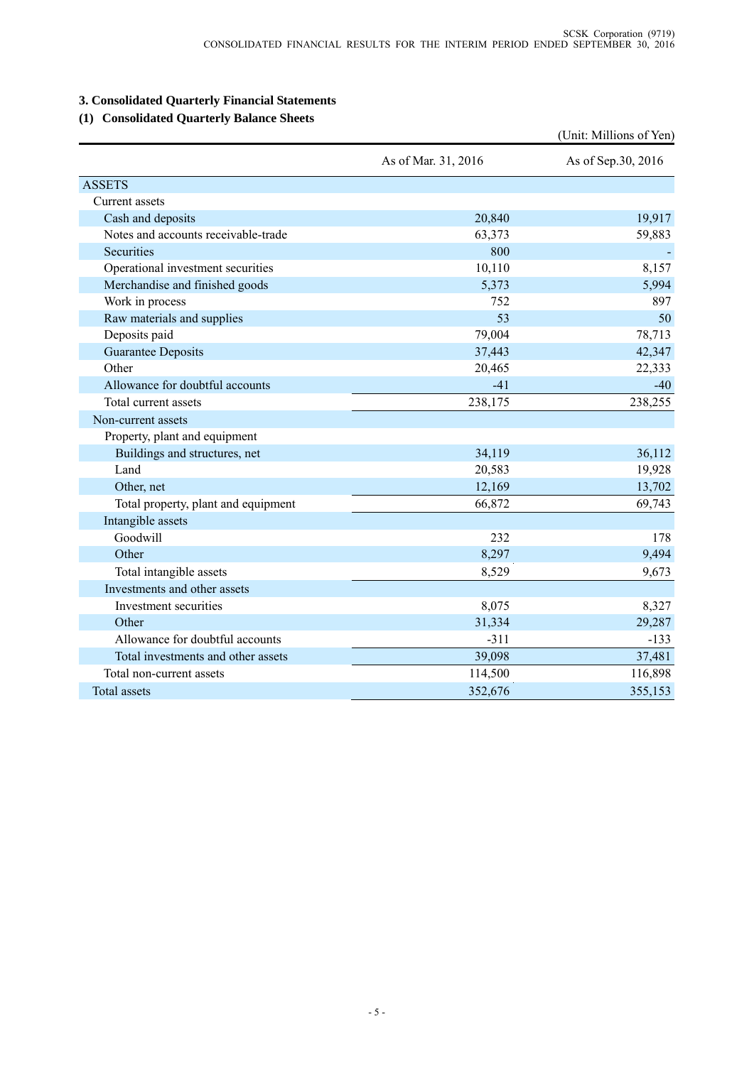## **3. Consolidated Quarterly Financial Statements**

## **(1) Consolidated Quarterly Balance Sheets**

|                                     |                     | (Unit: Millions of Yen) |
|-------------------------------------|---------------------|-------------------------|
|                                     | As of Mar. 31, 2016 | As of Sep.30, 2016      |
| <b>ASSETS</b>                       |                     |                         |
| Current assets                      |                     |                         |
| Cash and deposits                   | 20,840              | 19,917                  |
| Notes and accounts receivable-trade | 63,373              | 59,883                  |
| Securities                          | 800                 |                         |
| Operational investment securities   | 10,110              | 8,157                   |
| Merchandise and finished goods      | 5,373               | 5,994                   |
| Work in process                     | 752                 | 897                     |
| Raw materials and supplies          | 53                  | 50                      |
| Deposits paid                       | 79,004              | 78,713                  |
| <b>Guarantee Deposits</b>           | 37,443              | 42,347                  |
| Other                               | 20,465              | 22,333                  |
| Allowance for doubtful accounts     | $-41$               | $-40$                   |
| Total current assets                | 238,175             | 238,255                 |
| Non-current assets                  |                     |                         |
| Property, plant and equipment       |                     |                         |
| Buildings and structures, net       | 34,119              | 36,112                  |
| Land                                | 20,583              | 19,928                  |
| Other, net                          | 12,169              | 13,702                  |
| Total property, plant and equipment | 66,872              | 69,743                  |
| Intangible assets                   |                     |                         |
| Goodwill                            | 232                 | 178                     |
| Other                               | 8,297               | 9,494                   |
| Total intangible assets             | 8,529               | 9,673                   |
| Investments and other assets        |                     |                         |
| Investment securities               | 8,075               | 8,327                   |
| Other                               | 31,334              | 29,287                  |
| Allowance for doubtful accounts     | $-311$              | $-133$                  |
| Total investments and other assets  | 39,098              | 37,481                  |
| Total non-current assets            | 114,500             | 116,898                 |
| <b>Total assets</b>                 | 352,676             | 355,153                 |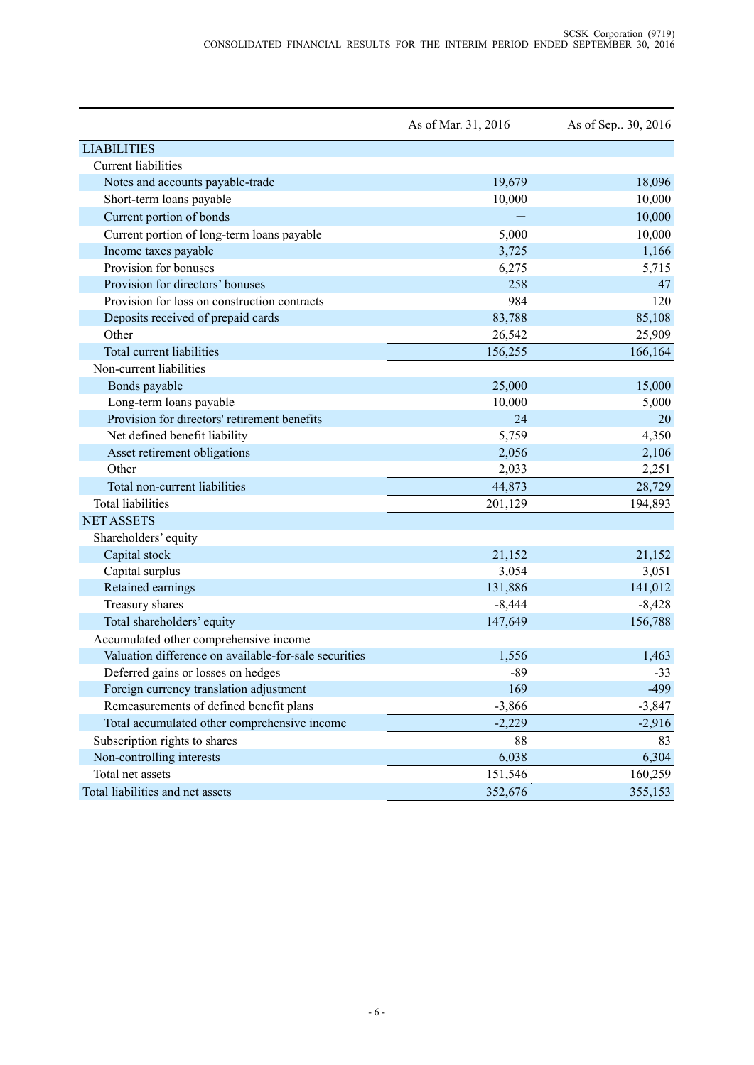|                                                       | As of Mar. 31, 2016 | As of Sep. 30, 2016 |
|-------------------------------------------------------|---------------------|---------------------|
| <b>LIABILITIES</b>                                    |                     |                     |
| <b>Current</b> liabilities                            |                     |                     |
| Notes and accounts payable-trade                      | 19,679              | 18,096              |
| Short-term loans payable                              | 10,000              | 10,000              |
| Current portion of bonds                              |                     | 10,000              |
| Current portion of long-term loans payable            | 5,000               | 10,000              |
| Income taxes payable                                  | 3,725               | 1,166               |
| Provision for bonuses                                 | 6,275               | 5,715               |
| Provision for directors' bonuses                      | 258                 | 47                  |
| Provision for loss on construction contracts          | 984                 | 120                 |
| Deposits received of prepaid cards                    | 83,788              | 85,108              |
| Other                                                 | 26,542              | 25,909              |
| Total current liabilities                             | 156,255             | 166,164             |
| Non-current liabilities                               |                     |                     |
| Bonds payable                                         | 25,000              | 15,000              |
| Long-term loans payable                               | 10,000              | 5,000               |
| Provision for directors' retirement benefits          | 24                  | 20                  |
| Net defined benefit liability                         | 5,759               | 4,350               |
| Asset retirement obligations                          | 2,056               | 2,106               |
| Other                                                 | 2,033               | 2,251               |
| Total non-current liabilities                         | 44,873              | 28,729              |
| <b>Total liabilities</b>                              | 201,129             | 194,893             |
| <b>NET ASSETS</b>                                     |                     |                     |
| Shareholders' equity                                  |                     |                     |
| Capital stock                                         | 21,152              | 21,152              |
| Capital surplus                                       | 3,054               | 3,051               |
| Retained earnings                                     | 131,886             | 141,012             |
| Treasury shares                                       | $-8,444$            | $-8,428$            |
| Total shareholders' equity                            | 147,649             | 156,788             |
| Accumulated other comprehensive income                |                     |                     |
| Valuation difference on available-for-sale securities | 1,556               | 1,463               |
| Deferred gains or losses on hedges                    | $-89$               | $-33$               |
| Foreign currency translation adjustment               | 169                 | $-499$              |
| Remeasurements of defined benefit plans               | $-3,866$            | $-3,847$            |
| Total accumulated other comprehensive income          | $-2,229$            | $-2,916$            |
| Subscription rights to shares                         | 88                  | 83                  |
| Non-controlling interests                             | 6,038               | 6,304               |
| Total net assets                                      | 151,546             | 160,259             |
| Total liabilities and net assets                      | 352,676             | 355,153             |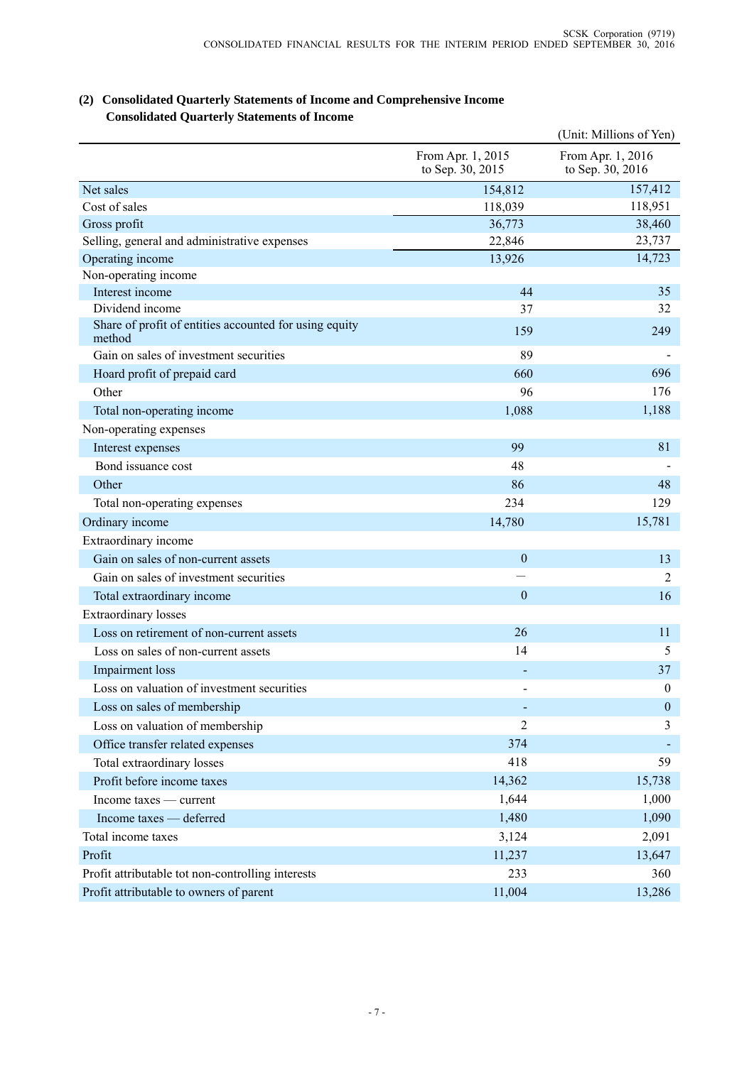|                                                                  |                                       | (Unit: Millions of Yen)               |
|------------------------------------------------------------------|---------------------------------------|---------------------------------------|
|                                                                  | From Apr. 1, 2015<br>to Sep. 30, 2015 | From Apr. 1, 2016<br>to Sep. 30, 2016 |
| Net sales                                                        | 154,812                               | 157,412                               |
| Cost of sales                                                    | 118,039                               | 118,951                               |
| Gross profit                                                     | 36,773                                | 38,460                                |
| Selling, general and administrative expenses                     | 22,846                                | 23,737                                |
| Operating income                                                 | 13,926                                | 14,723                                |
| Non-operating income                                             |                                       |                                       |
| Interest income                                                  | 44                                    | 35                                    |
| Dividend income                                                  | 37                                    | 32                                    |
| Share of profit of entities accounted for using equity<br>method | 159                                   | 249                                   |
| Gain on sales of investment securities                           | 89                                    |                                       |
| Hoard profit of prepaid card                                     | 660                                   | 696                                   |
| Other                                                            | 96                                    | 176                                   |
| Total non-operating income                                       | 1,088                                 | 1,188                                 |
| Non-operating expenses                                           |                                       |                                       |
| Interest expenses                                                | 99                                    | 81                                    |
| Bond issuance cost                                               | 48                                    |                                       |
| Other                                                            | 86                                    | 48                                    |
| Total non-operating expenses                                     | 234                                   | 129                                   |
| Ordinary income                                                  | 14,780                                | 15,781                                |
| Extraordinary income                                             |                                       |                                       |
| Gain on sales of non-current assets                              | $\mathbf{0}$                          | 13                                    |
| Gain on sales of investment securities                           |                                       | 2                                     |
| Total extraordinary income                                       | $\mathbf{0}$                          | 16                                    |
| <b>Extraordinary losses</b>                                      |                                       |                                       |
| Loss on retirement of non-current assets                         | 26                                    | 11                                    |
| Loss on sales of non-current assets                              | 14                                    | 5                                     |
| Impairment loss                                                  |                                       | 37                                    |
| Loss on valuation of investment securities                       |                                       | $\boldsymbol{0}$                      |
| Loss on sales of membership                                      |                                       | $\boldsymbol{0}$                      |
| Loss on valuation of membership                                  | $\overline{2}$                        | 3                                     |
| Office transfer related expenses                                 | 374                                   |                                       |
| Total extraordinary losses                                       | 418                                   | 59                                    |
| Profit before income taxes                                       | 14,362                                | 15,738                                |
| Income taxes — current                                           | 1,644                                 | 1,000                                 |
| Income taxes — deferred                                          | 1,480                                 | 1,090                                 |
| Total income taxes                                               | 3,124                                 | 2,091                                 |
| Profit                                                           | 11,237                                | 13,647                                |
| Profit attributable tot non-controlling interests                | 233                                   | 360                                   |
| Profit attributable to owners of parent                          | 11,004                                | 13,286                                |
|                                                                  |                                       |                                       |

## **(2) Consolidated Quarterly Statements of Income and Comprehensive Income Consolidated Quarterly Statements of Income**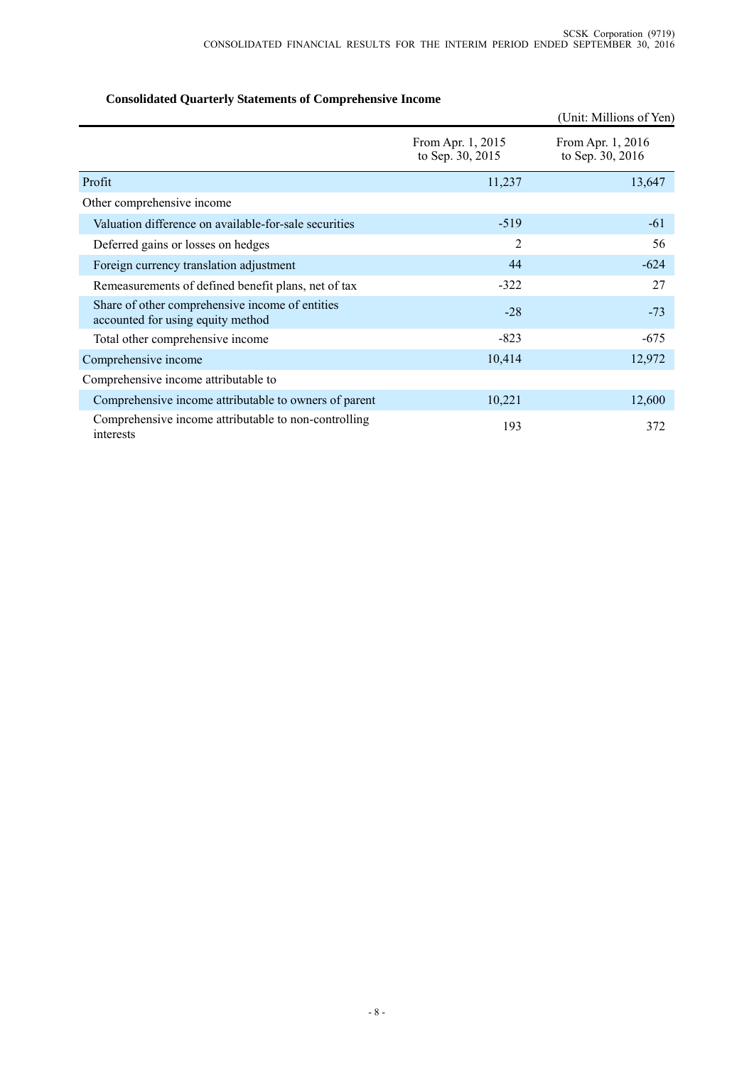## (Unit: Millions of Yen) From Apr. 1, 2015 to Sep. 30, 2015 From Apr. 1, 2016 to Sep. 30, 2016 Profit  $11,237$   $13,647$ Other comprehensive income Valuation difference on available-for-sale securities -519 -61 Deferred gains or losses on hedges 2 56 Foreign currency translation adjustment 44  $-624$ Remeasurements of defined benefit plans, net of tax  $-322$   $-322$  27 Share of other comprehensive income of entities accounted for using equity method accounted for using equity method  $-73$ Total other comprehensive income -823 -675 Comprehensive income 10,414 12,972 Comprehensive income attributable to Comprehensive income attributable to owners of parent 10,221 12,600 Comprehensive income attributable to non-controlling 193 372

#### **Consolidated Quarterly Statements of Comprehensive Income**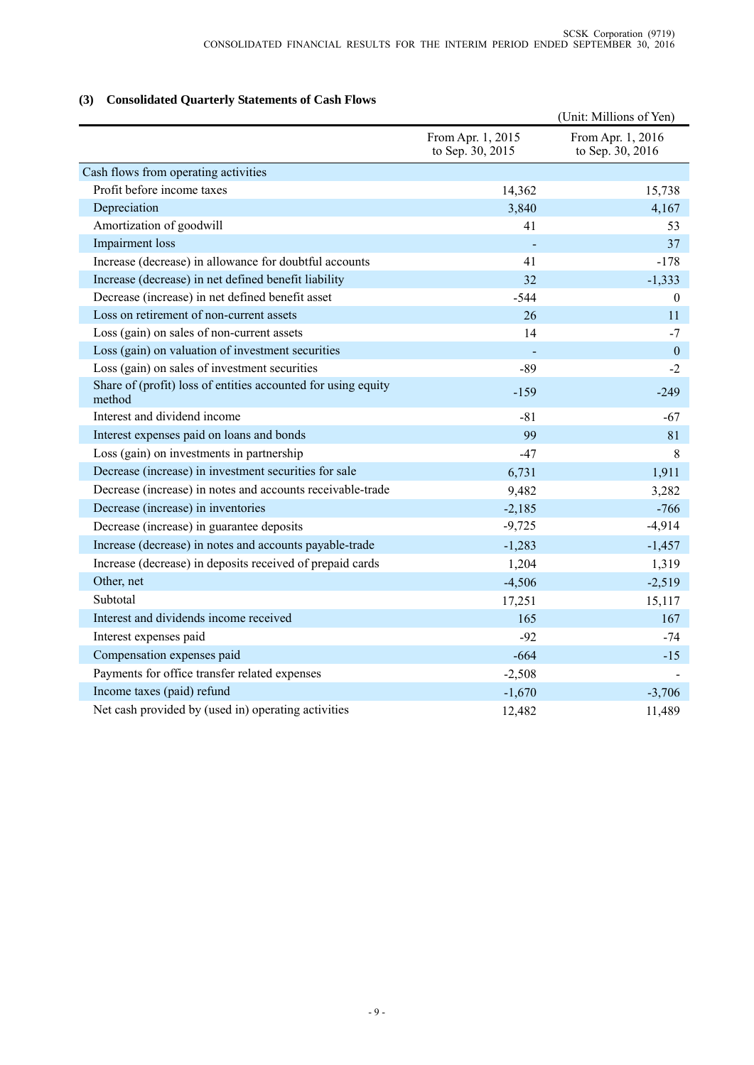## **(3) Consolidated Quarterly Statements of Cash Flows**

|                                                                         |                                       | (Unit: Millions of Yen)               |
|-------------------------------------------------------------------------|---------------------------------------|---------------------------------------|
|                                                                         | From Apr. 1, 2015<br>to Sep. 30, 2015 | From Apr. 1, 2016<br>to Sep. 30, 2016 |
| Cash flows from operating activities                                    |                                       |                                       |
| Profit before income taxes                                              | 14,362                                | 15,738                                |
| Depreciation                                                            | 3,840                                 | 4,167                                 |
| Amortization of goodwill                                                | 41                                    | 53                                    |
| Impairment loss                                                         |                                       | 37                                    |
| Increase (decrease) in allowance for doubtful accounts                  | 41                                    | $-178$                                |
| Increase (decrease) in net defined benefit liability                    | 32                                    | $-1,333$                              |
| Decrease (increase) in net defined benefit asset                        | $-544$                                | $\boldsymbol{0}$                      |
| Loss on retirement of non-current assets                                | 26                                    | 11                                    |
| Loss (gain) on sales of non-current assets                              | 14                                    | $-7$                                  |
| Loss (gain) on valuation of investment securities                       |                                       | $\boldsymbol{0}$                      |
| Loss (gain) on sales of investment securities                           | $-89$                                 | $-2$                                  |
| Share of (profit) loss of entities accounted for using equity<br>method | $-159$                                | $-249$                                |
| Interest and dividend income                                            | $-81$                                 | $-67$                                 |
| Interest expenses paid on loans and bonds                               | 99                                    | 81                                    |
| Loss (gain) on investments in partnership                               | $-47$                                 | 8                                     |
| Decrease (increase) in investment securities for sale                   | 6,731                                 | 1,911                                 |
| Decrease (increase) in notes and accounts receivable-trade              | 9,482                                 | 3,282                                 |
| Decrease (increase) in inventories                                      | $-2,185$                              | $-766$                                |
| Decrease (increase) in guarantee deposits                               | $-9,725$                              | $-4,914$                              |
| Increase (decrease) in notes and accounts payable-trade                 | $-1,283$                              | $-1,457$                              |
| Increase (decrease) in deposits received of prepaid cards               | 1,204                                 | 1,319                                 |
| Other, net                                                              | $-4,506$                              | $-2,519$                              |
| Subtotal                                                                | 17,251                                | 15,117                                |
| Interest and dividends income received                                  | 165                                   | 167                                   |
| Interest expenses paid                                                  | $-92$                                 | $-74$                                 |
| Compensation expenses paid                                              | $-664$                                | $-15$                                 |
| Payments for office transfer related expenses                           | $-2,508$                              |                                       |
| Income taxes (paid) refund                                              | $-1,670$                              | $-3,706$                              |
| Net cash provided by (used in) operating activities                     | 12,482                                | 11,489                                |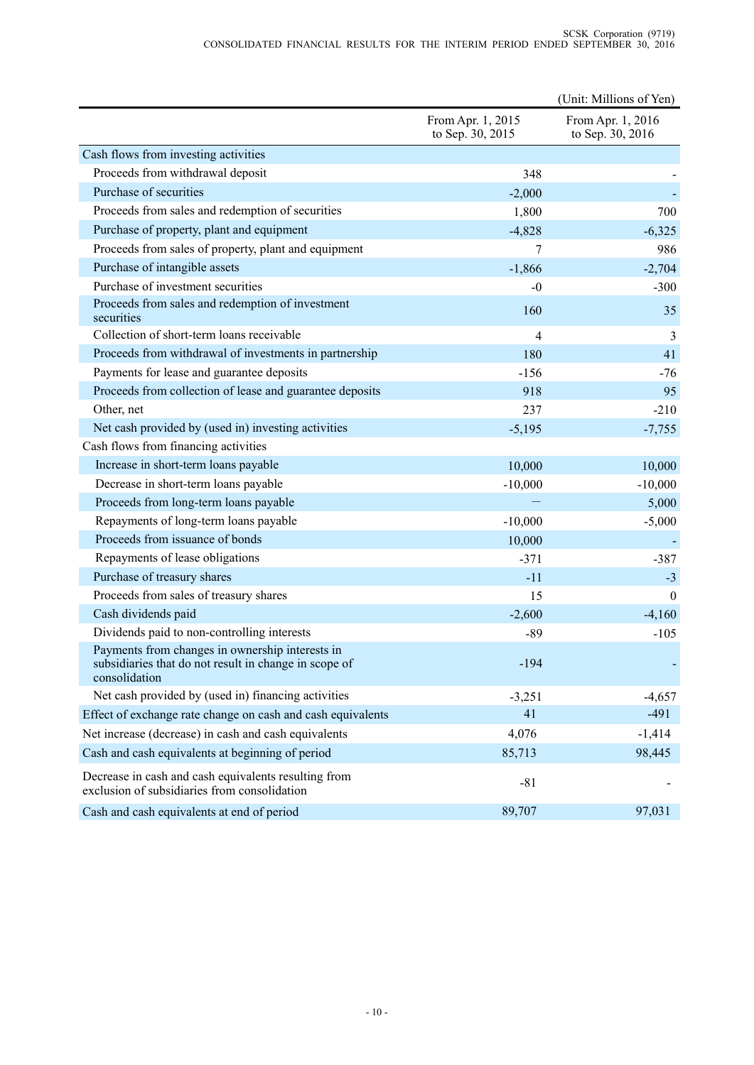|                                                                                                                           |                                       | (Unit: Millions of Yen)               |
|---------------------------------------------------------------------------------------------------------------------------|---------------------------------------|---------------------------------------|
|                                                                                                                           | From Apr. 1, 2015<br>to Sep. 30, 2015 | From Apr. 1, 2016<br>to Sep. 30, 2016 |
| Cash flows from investing activities                                                                                      |                                       |                                       |
| Proceeds from withdrawal deposit                                                                                          | 348                                   |                                       |
| Purchase of securities                                                                                                    | $-2,000$                              |                                       |
| Proceeds from sales and redemption of securities                                                                          | 1,800                                 | 700                                   |
| Purchase of property, plant and equipment                                                                                 | $-4,828$                              | $-6,325$                              |
| Proceeds from sales of property, plant and equipment                                                                      | 7                                     | 986                                   |
| Purchase of intangible assets                                                                                             | $-1,866$                              | $-2,704$                              |
| Purchase of investment securities                                                                                         | $-0$                                  | $-300$                                |
| Proceeds from sales and redemption of investment<br>securities                                                            | 160                                   | 35                                    |
| Collection of short-term loans receivable                                                                                 | $\overline{4}$                        | 3                                     |
| Proceeds from withdrawal of investments in partnership                                                                    | 180                                   | 41                                    |
| Payments for lease and guarantee deposits                                                                                 | $-156$                                | $-76$                                 |
| Proceeds from collection of lease and guarantee deposits                                                                  | 918                                   | 95                                    |
| Other, net                                                                                                                | 237                                   | $-210$                                |
| Net cash provided by (used in) investing activities                                                                       | $-5,195$                              | $-7,755$                              |
| Cash flows from financing activities                                                                                      |                                       |                                       |
| Increase in short-term loans payable                                                                                      | 10,000                                | 10,000                                |
| Decrease in short-term loans payable                                                                                      | $-10,000$                             | $-10,000$                             |
| Proceeds from long-term loans payable                                                                                     |                                       | 5,000                                 |
| Repayments of long-term loans payable                                                                                     | $-10,000$                             | $-5,000$                              |
| Proceeds from issuance of bonds                                                                                           | 10,000                                |                                       |
| Repayments of lease obligations                                                                                           | $-371$                                | $-387$                                |
| Purchase of treasury shares                                                                                               | $-11$                                 | $-3$                                  |
| Proceeds from sales of treasury shares                                                                                    | 15                                    | $\theta$                              |
| Cash dividends paid                                                                                                       | $-2,600$                              | $-4,160$                              |
| Dividends paid to non-controlling interests                                                                               | $-89$                                 | $-105$                                |
| Payments from changes in ownership interests in<br>subsidiaries that do not result in change in scope of<br>consolidation | $-194$                                |                                       |
| Net cash provided by (used in) financing activities                                                                       | $-3,251$                              | $-4,657$                              |
| Effect of exchange rate change on cash and cash equivalents                                                               | 41                                    | $-491$                                |
| Net increase (decrease) in cash and cash equivalents                                                                      | 4,076                                 | $-1,414$                              |
| Cash and cash equivalents at beginning of period                                                                          | 85,713                                | 98,445                                |
| Decrease in cash and cash equivalents resulting from<br>exclusion of subsidiaries from consolidation                      | $-81$                                 |                                       |
| Cash and cash equivalents at end of period                                                                                | 89,707                                | 97,031                                |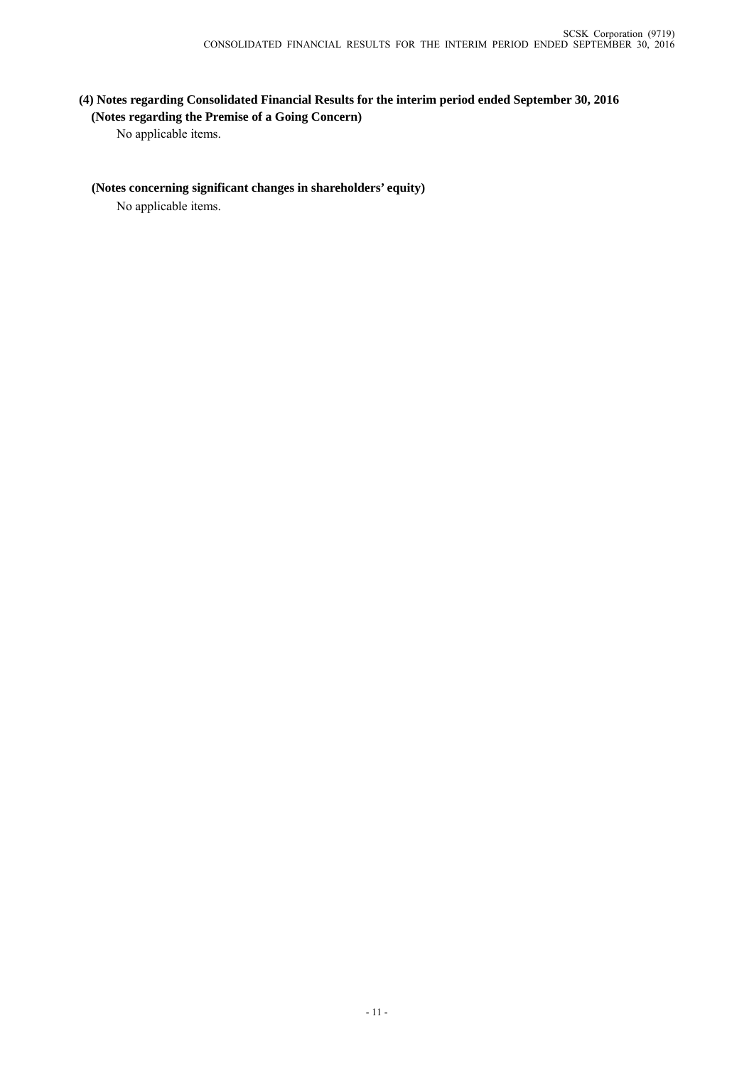## **(4) Notes regarding Consolidated Financial Results for the interim period ended September 30, 2016 (Notes regarding the Premise of a Going Concern)**

No applicable items.

#### **(Notes concerning significant changes in shareholders' equity)**

No applicable items.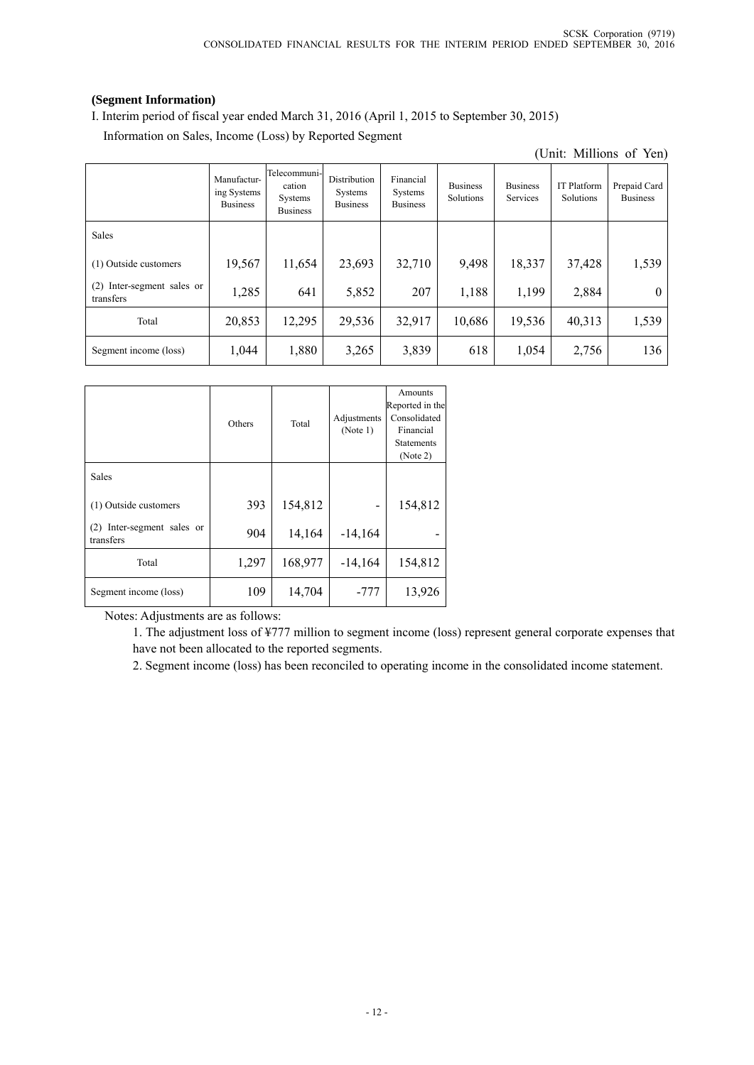## **(Segment Information)**

I. Interim period of fiscal year ended March 31, 2016 (April 1, 2015 to September 30, 2015) Information on Sales, Income (Loss) by Reported Segment

| (Unit: Millions of Yen)                    |                                               |                                                      |                                            |                                         |                              |                             |                                 |                                 |
|--------------------------------------------|-----------------------------------------------|------------------------------------------------------|--------------------------------------------|-----------------------------------------|------------------------------|-----------------------------|---------------------------------|---------------------------------|
|                                            | Manufactur-<br>ing Systems<br><b>Business</b> | Telecommuni-<br>cation<br>Systems<br><b>Business</b> | Distribution<br>Systems<br><b>Business</b> | Financial<br>Systems<br><b>Business</b> | <b>Business</b><br>Solutions | <b>Business</b><br>Services | <b>IT Platform</b><br>Solutions | Prepaid Card<br><b>Business</b> |
| Sales                                      |                                               |                                                      |                                            |                                         |                              |                             |                                 |                                 |
| (1) Outside customers                      | 19,567                                        | 11,654                                               | 23,693                                     | 32,710                                  | 9,498                        | 18,337                      | 37,428                          | 1,539                           |
| Inter-segment sales or<br>(2)<br>transfers | 1,285                                         | 641                                                  | 5,852                                      | 207                                     | 1,188                        | 1,199                       | 2,884                           | $\theta$                        |
| Total                                      | 20,853                                        | 12,295                                               | 29,536                                     | 32,917                                  | 10,686                       | 19,536                      | 40,313                          | 1,539                           |
| Segment income (loss)                      | 1,044                                         | 1,880                                                | 3,265                                      | 3,839                                   | 618                          | 1,054                       | 2,756                           | 136                             |

|                                            | Others | Total   | Adjustments<br>(Note 1) | Amounts<br>Reported in the<br>Consolidated<br>Financial<br><b>Statements</b><br>(Note 2) |
|--------------------------------------------|--------|---------|-------------------------|------------------------------------------------------------------------------------------|
| Sales                                      |        |         |                         |                                                                                          |
| (1) Outside customers                      | 393    | 154,812 |                         | 154,812                                                                                  |
| Inter-segment sales or<br>(2)<br>transfers | 904    | 14,164  | $-14,164$               |                                                                                          |
| Total                                      | 1,297  | 168,977 | $-14,164$               | 154,812                                                                                  |
| Segment income (loss)                      | 109    | 14,704  | -777                    | 13,926                                                                                   |

Notes: Adjustments are as follows:

1. The adjustment loss of ¥777 million to segment income (loss) represent general corporate expenses that have not been allocated to the reported segments.

2. Segment income (loss) has been reconciled to operating income in the consolidated income statement.